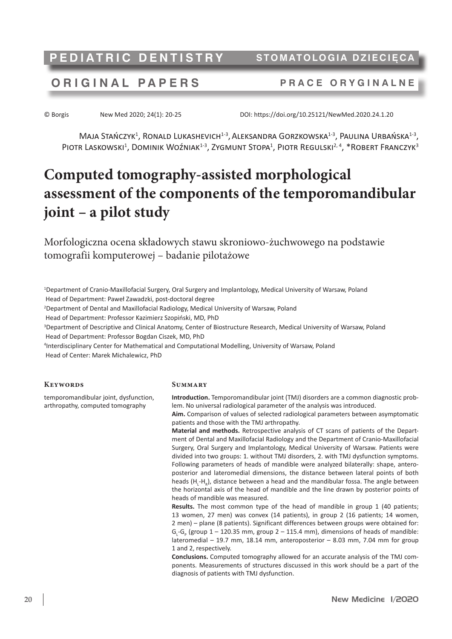**PEDIATRIC DENTISTRY** STOMATOLOGIA DZIECIĘC

## **ORIGINAL P A P ERS P RACE ORYGINALNE**

© Borgis New Med 2020; 24(1): 20-25 DOI: https://doi.org/10.25121/NewMed.2020.24.1.20

 $M$ aja Stańczyk<sup>1</sup>, Ronald Lukashevich<sup>1-3</sup>, Aleksandra Gorzkowska<sup>1-3</sup>, Paulina Urbańska<sup>1-3</sup>, PIOTR LASKOWSKI<sup>1</sup>, DOMINIK WOŹNIAK<sup>1-3</sup>, ZYGMUNT STOPA<sup>1</sup>, PIOTR REGULSKI<sup>2, 4</sup>, \*ROBERT FRANCZYK<sup>3</sup>

# **Computed tomography-assisted morphological assessment of the components of the temporomandibular joint – a pilot study**

Morfologiczna ocena składowych stawu skroniowo-żuchwowego na podstawie tomografii komputerowej – badanie pilotażowe

1 Department of Cranio-Maxillofacial Surgery, Oral Surgery and Implantology, Medical University of Warsaw, Poland Head of Department: Paweł Zawadzki, post-doctoral degree

2 Department of Dental and Maxillofacial Radiology, Medical University of Warsaw, Poland

Head of Department: Professor Kazimierz Szopiński, MD, PhD

3 Department of Descriptive and Clinical Anatomy, Center of Biostructure Research, Medical University of Warsaw, Poland Head of Department: Professor Bogdan Ciszek, MD, PhD

4 Interdisciplinary Center for Mathematical and Computational Modelling, University of Warsaw, Poland

Head of Center: Marek Michalewicz, PhD

temporomandibular joint, dysfunction, arthropathy, computed tomography

#### **Keywords**

**Summary**

**Introduction.** Temporomandibular joint (TMJ) disorders are a common diagnostic problem. No universal radiological parameter of the analysis was introduced.

**Aim.** Comparison of values of selected radiological parameters between asymptomatic patients and those with the TMJ arthropathy.

**Material and methods.** Retrospective analysis of CT scans of patients of the Department of Dental and Maxillofacial Radiology and the Department of Cranio-Maxillofacial Surgery, Oral Surgery and Implantology, Medical University of Warsaw. Patients were divided into two groups: 1. without TMJ disorders, 2. with TMJ dysfunction symptoms. Following parameters of heads of mandible were analyzed bilaterally: shape, anteroposterior and lateromedial dimensions, the distance between lateral points of both heads  $(H_{L}$ - $H_{R}$ ), distance between a head and the mandibular fossa. The angle between the horizontal axis of the head of mandible and the line drawn by posterior points of heads of mandible was measured.

Results. The most common type of the head of mandible in group 1 (40 patients; 13 women, 27 men) was convex (14 patients), in group 2 (16 patients; 14 women, 2 men) – plane (8 patients). Significant differences between groups were obtained for:  $G_{L}$ - $G_{P}$  (group 1 – 120.35 mm, group 2 – 115.4 mm), dimensions of heads of mandible: lateromedial – 19.7 mm, 18.14 mm, anteroposterior – 8.03 mm, 7.04 mm for group 1 and 2, respectively.

**Conclusions.** Computed tomography allowed for an accurate analysis of the TMJ components. Measurements of structures discussed in this work should be a part of the diagnosis of patients with TMJ dysfunction.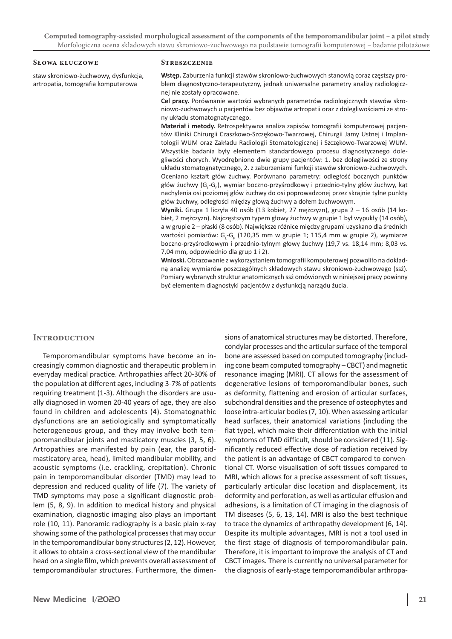**Computed tomography-assisted morphological assessment of the components of the temporomandibular joint – a pilot study** Morfologiczna ocena składowych stawu skroniowo-żuchwowego na podstawie tomografii komputerowej – badanie pilotażowe

#### **Słowa kluczowe**

staw skroniowo-żuchwowy, dysfunkcja, artropatia, tomografia komputerowa

#### **Streszczenie**

**Wstęp.** Zaburzenia funkcji stawów skroniowo-żuchwowych stanowią coraz częstszy problem diagnostyczno-terapeutyczny, jednak uniwersalne parametry analizy radiologicznej nie zostały opracowane.

**Cel pracy.** Porównanie wartości wybranych parametrów radiologicznych stawów skroniowo-żuchwowych u pacjentów bez objawów artropatii oraz z dolegliwościami ze strony układu stomatognatycznego.

**Materiał i metody.** Retrospektywna analiza zapisów tomografii komputerowej pacjentów Kliniki Chirurgii Czaszkowo-Szczękowo-Twarzowej, Chirurgii Jamy Ustnej i Implantologii WUM oraz Zakładu Radiologii Stomatologicznej i Szczękowo-Twarzowej WUM. Wszystkie badania były elementem standardowego procesu diagnostycznego dolegliwości chorych. Wyodrębniono dwie grupy pacjentów: 1. bez dolegliwości ze strony układu stomatognatycznego, 2. z zaburzeniami funkcji stawów skroniowo-żuchwowych. Oceniano kształt głów żuchwy. Porównano parametry: odległość bocznych punktów głów żuchwy (G<sub>L</sub>-G<sub>P</sub>), wymiar boczno-przyśrodkowy i przednio-tylny głów żuchwy, kąt nachylenia osi poziomej głów żuchwy do osi poprowadzonej przez skrajnie tylne punkty głów żuchwy, odległości między głową żuchwy a dołem żuchwowym.

**Wyniki.** Grupa 1 liczyła 40 osób (13 kobiet, 27 mężczyzn), grupa 2 – 16 osób (14 kobiet, 2 mężczyzn). Najczęstszym typem głowy żuchwy w grupie 1 był wypukły (14 osób), a w grupie 2 – płaski (8 osób). Największe różnice między grupami uzyskano dla średnich wartości pomiarów: G<sub>L</sub>-G<sub>P</sub> (120,35 mm w grupie 1; 115,4 mm w grupie 2), wymiarze boczno-przyśrodkowym i przednio-tylnym głowy żuchwy (19,7 vs. 18,14 mm; 8,03 vs. 7,04 mm, odpowiednio dla grup 1 i 2).

**Wnioski.** Obrazowanie z wykorzystaniem tomografii komputerowej pozwoliło na dokładną analizę wymiarów poszczególnych składowych stawu skroniowo-żuchwowego (ssż). Pomiary wybranych struktur anatomicznych ssż omówionych w niniejszej pracy powinny być elementem diagnostyki pacjentów z dysfunkcją narządu żucia.

#### **Introduction**

Temporomandibular symptoms have become an increasingly common diagnostic and therapeutic problem in everyday medical practice. Arthropathies affect 20-30% of the population at different ages, including 3-7% of patients requiring treatment (1-3). Although the disorders are usually diagnosed in women 20-40 years of age, they are also found in children and adolescents (4). Stomatognathic dysfunctions are an aetiologically and symptomatically heterogeneous group, and they may involve both temporomandibular joints and masticatory muscles (3, 5, 6). Artropathies are manifested by pain (ear, the parotidmasticatory area, head), limited mandibular mobility, and acoustic symptoms (i.e. crackling, crepitation). Chronic pain in temporomandibular disorder (TMD) may lead to depression and reduced quality of life (7). The variety of TMD symptoms may pose a significant diagnostic problem (5, 8, 9). In addition to medical history and physical examination, diagnostic imaging also plays an important role (10, 11). Panoramic radiography is a basic plain x-ray showing some of the pathological processes that may occur in the temporomandibular bony structures(2, 12). However, it allows to obtain a cross-sectional view of the mandibular head on a single film, which prevents overall assessment of temporomandibular structures. Furthermore, the dimensions of anatomical structures may be distorted. Therefore, condylar processes and the articular surface of the temporal bone are assessed based on computed tomography (including cone beam computed tomography – CBCT) and magnetic resonance imaging (MRI). CT allows for the assessment of degenerative lesions of temporomandibular bones, such as deformity, flattening and erosion of articular surfaces, subchondral densities and the presence of osteophytes and loose intra-articular bodies(7, 10). When assessing articular head surfaces, their anatomical variations (including the flat type), which make their differentiation with the initial symptoms of TMD difficult, should be considered (11). Significantly reduced effective dose of radiation received by the patient is an advantage of CBCT compared to conventional CT. Worse visualisation of soft tissues compared to MRI, which allows for a precise assessment of soft tissues, particularly articular disc location and displacement, its deformity and perforation, as well as articular effusion and adhesions, is a limitation of CT imaging in the diagnosis of TM diseases (5, 6, 13, 14). MRI is also the best technique to trace the dynamics of arthropathy development (6, 14). Despite its multiple advantages, MRI is not a tool used in the first stage of diagnosis of temporomandibular pain. Therefore, it is important to improve the analysis of CT and CBCT images. There is currently no universal parameter for the diagnosis of early-stage temporomandibular arthropa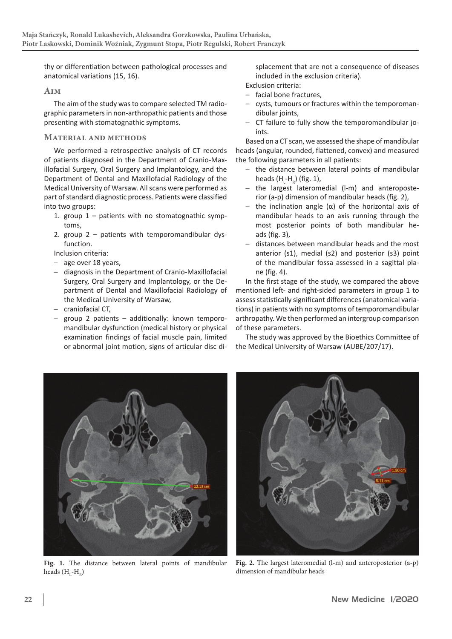thy or differentiation between pathological processes and anatomical variations (15, 16).

### **Aim**

The aim of the study was to compare selected TM radiographic parameters in non-arthropathic patients and those presenting with stomatognathic symptoms.

### **Material and methods**

We performed a retrospective analysis of CT records of patients diagnosed in the Department of Cranio-Maxillofacial Surgery, Oral Surgery and Implantology, and the Department of Dental and Maxillofacial Radiology of the Medical University of Warsaw. All scans were performed as part of standard diagnostic process. Patients were classified into two groups:

- 1. group 1 patients with no stomatognathic symptoms,
- 2. group 2 patients with temporomandibular dysfunction.

Inclusion criteria:

- age over 18 years,
- diagnosis in the Department of Cranio-Maxillofacial Surgery, Oral Surgery and Implantology, or the Department of Dental and Maxillofacial Radiology of the Medical University of Warsaw,
- craniofacial CT,
- group 2 patients additionally: known temporomandibular dysfunction (medical history or physical examination findings of facial muscle pain, limited or abnormal joint motion, signs of articular disc di-

splacement that are not a consequence of diseases included in the exclusion criteria).

Exclusion criteria:

- facial bone fractures,
- cysts, tumours or fractures within the temporomandibular joints,
- CT failure to fully show the temporomandibular joints.

Based on a CT scan, we assessed the shape of mandibular heads (angular, rounded, flattened, convex) and measured the following parameters in all patients:

- the distance between lateral points of mandibular heads  $(H<sub>L</sub>-H<sub>R</sub>)$  (fig. 1),
- the largest lateromedial (l-m) and anteroposterior (a-p) dimension of mandibular heads (fig. 2),
- the inclination angle (α) of the horizontal axis of mandibular heads to an axis running through the most posterior points of both mandibular heads (fig. 3),
- distances between mandibular heads and the most anterior (s1), medial (s2) and posterior (s3) point of the mandibular fossa assessed in a sagittal plane (fig. 4).

In the first stage of the study, we compared the above mentioned left- and right-sided parameters in group 1 to assess statistically significant differences(anatomical variations) in patients with no symptoms of temporomandibular arthropathy. We then performed an intergroup comparison of these parameters.

The study was approved by the Bioethics Committee of the Medical University of Warsaw (AUBE/207/17).



**Fig. 1.** The distance between lateral points of mandibular heads  $(H_L-H_R)$ 



**Fig. 2.** The largest lateromedial (l-m) and anteroposterior (a-p) dimension of mandibular heads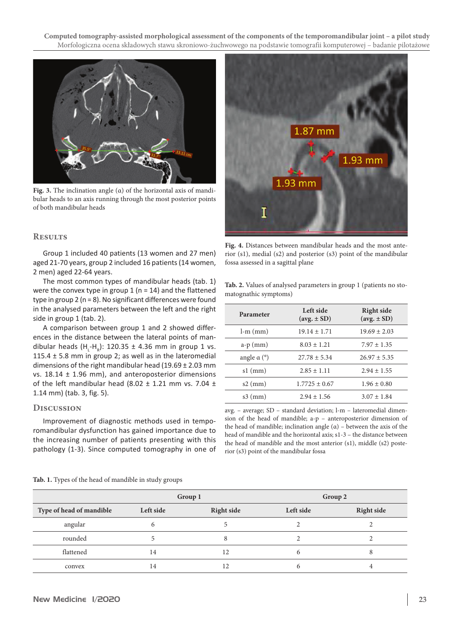**Computed tomography-assisted morphological assessment of the components of the temporomandibular joint – a pilot study** Morfologiczna ocena składowych stawu skroniowo-żuchwowego na podstawie tomografii komputerowej – badanie pilotażowe



**Fig. 3.** The inclination angle (α) of the horizontal axis of mandibular heads to an axis running through the most posterior points of both mandibular heads

#### **Results**

Group 1 included 40 patients (13 women and 27 men) aged 21-70 years, group 2 included 16 patients(14 women, 2 men) aged 22-64 years.

The most common types of mandibular heads (tab. 1) were the convex type in group  $1$  (n = 14) and the flattened type in group 2 (n = 8). No significant differences were found in the analysed parameters between the left and the right side in group 1 (tab. 2).

A comparison between group 1 and 2 showed differences in the distance between the lateral points of mandibular heads  $(H_{\text{l}}\text{-}H_{\text{R}})$ : 120.35 ± 4.36 mm in group 1 vs. 115.4  $\pm$  5.8 mm in group 2; as well as in the lateromedial dimensions of the right mandibular head (19.69  $\pm$  2.03 mm vs.  $18.14 \pm 1.96$  mm), and anteroposterior dimensions of the left mandibular head (8.02  $\pm$  1.21 mm vs. 7.04  $\pm$ 1.14 mm) (tab. 3, fig. 5).

#### **Discussion**

Improvement of diagnostic methods used in temporomandibular dysfunction has gained importance due to the increasing number of patients presenting with this pathology (1-3). Since computed tomography in one of



**Fig. 4.** Distances between mandibular heads and the most anterior (s1), medial (s2) and posterior (s3) point of the mandibular fossa assessed in a sagittal plane

**Tab. 2.** Values of analysed parameters in group 1 (patients no stomatognathic symptoms)

| Parameter          | Left side<br>$(\text{avg.} \pm \text{SD})$ | <b>Right side</b><br>$(\text{avg.} \pm \text{SD})$ |
|--------------------|--------------------------------------------|----------------------------------------------------|
| $l-m$ (mm)         | $19.14 \pm 1.71$                           | $19.69 \pm 2.03$                                   |
| $a-p$ (mm)         | $8.03 \pm 1.21$                            | $7.97 \pm 1.35$                                    |
| angle $\alpha$ (°) | $27.78 \pm 5.34$                           | $26.97 \pm 5.35$                                   |
| $s1$ (mm)          | $2.85 \pm 1.11$                            | $2.94 \pm 1.55$                                    |
| $s2$ (mm)          | $1.7725 \pm 0.67$                          | $1.96 \pm 0.80$                                    |
| $s3$ (mm)          | $2.94 \pm 1.56$                            | $3.07 \pm 1.84$                                    |
|                    |                                            |                                                    |

avg. – average; SD – standard deviation; l-m – lateromedial dimension of the head of mandible; a-p – anteroposterior dimension of the head of mandible; inclination angle  $(α)$  – between the axis of the head of mandible and the horizontal axis; s1-3 – the distance between the head of mandible and the most anterior (s1), middle (s2) posterior (s3) point of the mandibular fossa

|                          | Group 1   |                   | Group 2   |                   |
|--------------------------|-----------|-------------------|-----------|-------------------|
| Type of head of mandible | Left side | <b>Right side</b> | Left side | <b>Right side</b> |
| angular                  |           |                   |           |                   |
| rounded                  |           |                   |           |                   |
| flattened                | 14        | 12                | 6         |                   |
| convex                   | 14        | 12                |           |                   |

**Tab. 1.** Types of the head of mandible in study groups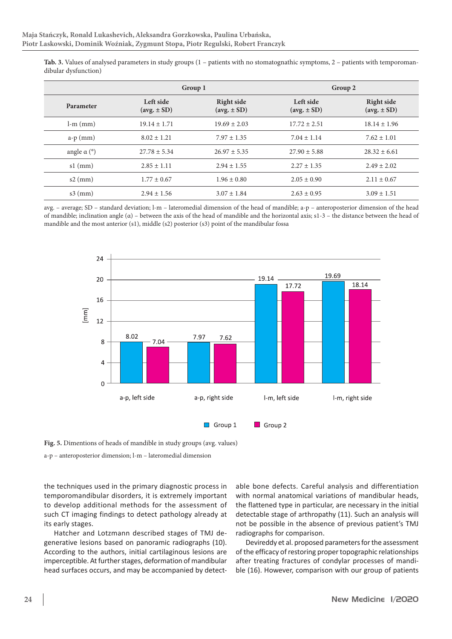|                              | Group 1                                    |                                             | Group 2                                    |                                                    |
|------------------------------|--------------------------------------------|---------------------------------------------|--------------------------------------------|----------------------------------------------------|
| Parameter                    | Left side<br>$(\text{avg.} \pm \text{SD})$ | Right side<br>$(\text{avg.} \pm \text{SD})$ | Left side<br>$(\text{avg.} \pm \text{SD})$ | <b>Right side</b><br>$(\text{avg.} \pm \text{SD})$ |
| $l-m$ (mm)                   | $19.14 \pm 1.71$                           | $19.69 \pm 2.03$                            | $17.72 \pm 2.51$                           | $18.14 \pm 1.96$                                   |
| $a-p$ (mm)                   | $8.02 \pm 1.21$                            | $7.97 \pm 1.35$                             | $7.04 \pm 1.14$                            | $7.62 \pm 1.01$                                    |
| angle $\alpha$ ( $\degree$ ) | $27.78 \pm 5.34$                           | $26.97 \pm 5.35$                            | $27.90 \pm 5.88$                           | $28.32 \pm 6.61$                                   |
| $s1$ (mm)                    | $2.85 \pm 1.11$                            | $2.94 \pm 1.55$                             | $2.27 \pm 1.35$                            | $2.49 \pm 2.02$                                    |
| $s2$ (mm)                    | $1.77 \pm 0.67$                            | $1.96 \pm 0.80$                             | $2.05 \pm 0.90$                            | $2.11 \pm 0.67$                                    |
| $s3$ (mm)                    | $2.94 \pm 1.56$                            | $3.07 \pm 1.84$                             | $2.63 \pm 0.95$                            | $3.09 \pm 1.51$                                    |

**Tab. 3.** Values of analysed parameters in study groups (1 – patients with no stomatognathic symptoms, 2 – patients with temporomandibular dysfunction)

avg. – average; SD – standard deviation; l-m – lateromedial dimension of the head of mandible; a-p – anteroposterior dimension of the head of mandible; inclination angle (α) – between the axis of the head of mandible and the horizontal axis; s1-3 – the distance between the head of mandible and the most anterior (s1), middle (s2) posterior (s3) point of the mandibular fossa



**Fig. 5.** Dimentions of heads of mandible in study groups (avg. values)

a-p – anteroposterior dimension; l-m – lateromedial dimension

the techniques used in the primary diagnostic process in temporomandibular disorders, it is extremely important to develop additional methods for the assessment of such CT imaging findings to detect pathology already at its early stages.

Hatcher and Lotzmann described stages of TMJ degenerative lesions based on panoramic radiographs (10). According to the authors, initial cartilaginous lesions are imperceptible. At further stages, deformation of mandibular head surfaces occurs, and may be accompanied by detect-

able bone defects. Careful analysis and differentiation with normal anatomical variations of mandibular heads, the flattened type in particular, are necessary in the initial detectable stage of arthropathy (11). Such an analysis will not be possible in the absence of previous patient's TMJ radiographs for comparison.

Devireddy et al. proposed parameters for the assessment of the efficacy of restoring proper topographic relationships after treating fractures of condylar processes of mandible (16). However, comparison with our group of patients